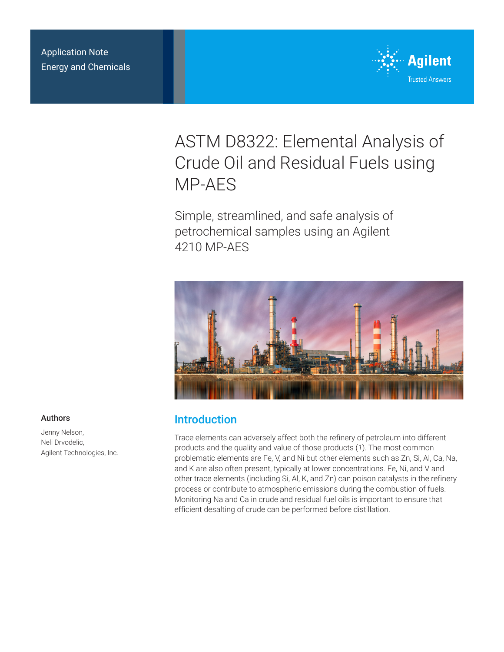Application Note Energy and Chemicals



# ASTM D8322: Elemental Analysis of Crude Oil and Residual Fuels using MP-AES

Simple, streamlined, and safe analysis of petrochemical samples using an Agilent 4210 MP-AES



## Introduction

Trace elements can adversely affect both the refinery of petroleum into different products and the quality and value of those products (*1*). The most common problematic elements are Fe, V, and Ni but other elements such as Zn, Si, Al, Ca, Na, and K are also often present, typically at lower concentrations. Fe, Ni, and V and other trace elements (including Si, Al, K, and Zn) can poison catalysts in the refinery process or contribute to atmospheric emissions during the combustion of fuels. Monitoring Na and Ca in crude and residual fuel oils is important to ensure that efficient desalting of crude can be performed before distillation.

#### Authors

Jenny Nelson, Neli Drvodelic, Agilent Technologies, Inc.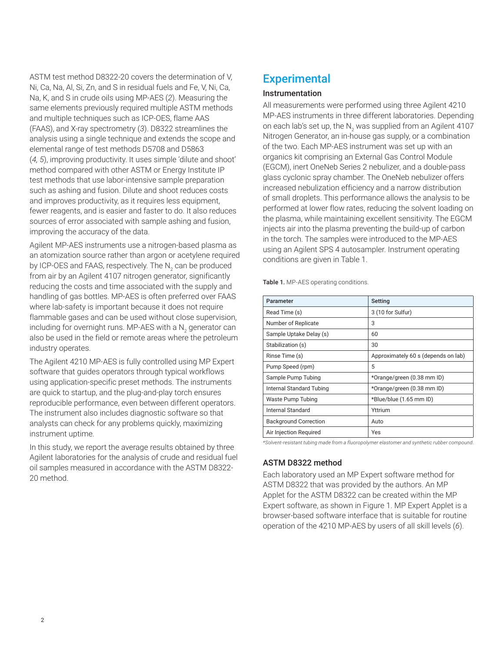ASTM test method D8322-20 covers the determination of V, Ni, Ca, Na, Al, Si, Zn, and S in residual fuels and Fe, V, Ni, Ca, Na, K, and S in crude oils using MP-AES (*2*). Measuring the same elements previously required multiple ASTM methods and multiple techniques such as ICP-OES, flame AAS (FAAS), and X-ray spectrometry (*3*). D8322 streamlines the analysis using a single technique and extends the scope and elemental range of test methods D5708 and D5863 (*4, 5*), improving productivity. It uses simple 'dilute and shoot' method compared with other ASTM or Energy Institute IP test methods that use labor-intensive sample preparation such as ashing and fusion. Dilute and shoot reduces costs and improves productivity, as it requires less equipment, fewer reagents, and is easier and faster to do. It also reduces sources of error associated with sample ashing and fusion, improving the accuracy of the data.

Agilent MP-AES instruments use a nitrogen-based plasma as an atomization source rather than argon or acetylene required by ICP-OES and FAAS, respectively. The N<sub>2</sub> can be produced from air by an Agilent 4107 nitrogen generator, significantly reducing the costs and time associated with the supply and handling of gas bottles. MP-AES is often preferred over FAAS where lab-safety is important because it does not require flammable gases and can be used without close supervision, including for overnight runs. MP-AES with a N<sub>2</sub> generator can also be used in the field or remote areas where the petroleum industry operates.

The Agilent 4210 MP-AES is fully controlled using MP Expert software that guides operators through typical workflows using application-specific preset methods. The instruments are quick to startup, and the plug-and-play torch ensures reproducible performance, even between different operators. The instrument also includes diagnostic software so that analysts can check for any problems quickly, maximizing instrument uptime.

In this study, we report the average results obtained by three Agilent laboratories for the analysis of crude and residual fuel oil samples measured in accordance with the ASTM D8322- 20 method.

# **Experimental**

#### Instrumentation

All measurements were performed using three Agilent 4210 MP-AES instruments in three different laboratories. Depending on each lab's set up, the N<sub>2</sub> was supplied from an Agilent 4107 Nitrogen Generator, an in-house gas supply, or a combination of the two. Each MP-AES instrument was set up with an organics kit comprising an External Gas Control Module (EGCM), inert OneNeb Series 2 nebulizer, and a double-pass glass cyclonic spray chamber. The OneNeb nebulizer offers increased nebulization efficiency and a narrow distribution of small droplets. This performance allows the analysis to be performed at lower flow rates, reducing the solvent loading on the plasma, while maintaining excellent sensitivity. The EGCM injects air into the plasma preventing the build-up of carbon in the torch. The samples were introduced to the MP-AES using an Agilent SPS 4 autosampler. Instrument operating conditions are given in Table 1.

Table 1. MP-AES operating conditions.

| Parameter                    | Setting                             |
|------------------------------|-------------------------------------|
| Read Time (s)                | 3 (10 for Sulfur)                   |
| Number of Replicate          | 3                                   |
| Sample Uptake Delay (s)      | 60                                  |
| Stabilization (s)            | 30                                  |
| Rinse Time (s)               | Approximately 60 s (depends on lab) |
| Pump Speed (rpm)             | 5                                   |
| Sample Pump Tubing           | *Orange/green (0.38 mm ID)          |
| Internal Standard Tubing     | *Orange/green (0.38 mm ID)          |
| Waste Pump Tubing            | *Blue/blue (1.65 mm ID)             |
| Internal Standard            | Yttrium                             |
| <b>Background Correction</b> | Auto                                |
| Air Injection Required       | Yes                                 |

*\*Solvent-resistant tubing made from a fluoropolymer elastomer and synthetic rubber compound.*

#### ASTM D8322 method

Each laboratory used an MP Expert software method for ASTM D8322 that was provided by the authors. An MP Applet for the ASTM D8322 can be created within the MP Expert software, as shown in Figure 1. MP Expert Applet is a browser-based software interface that is suitable for routine operation of the 4210 MP-AES by users of all skill levels (*6*).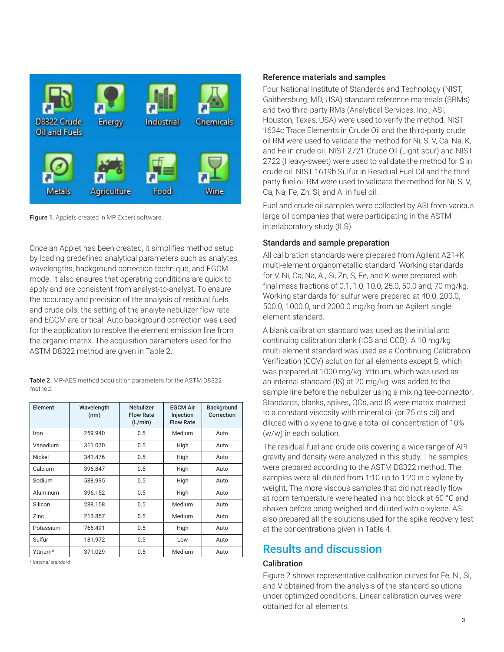

Figure 1. Applets created in MP Expert software.

Once an Applet has been created, it simplifies method setup by loading predefined analytical parameters such as analytes, wavelengths, background correction technique, and EGCM mode. It also ensures that operating conditions are quick to apply and are consistent from analyst-to-analyst. To ensure the accuracy and precision of the analysis of residual fuels and crude oils, the setting of the analyte nebulizer flow rate and EGCM are critical. Auto background correction was used for the application to resolve the element emission line from the organic matrix. The acquisition parameters used for the ASTM D8322 method are given in Table 2.

Table 2. MP-AES method acquisition parameters for the ASTM D8322 method.

| Element   | Wavelength<br>(nm) | Nebulizer<br><b>Flow Rate</b><br>(L/min) | <b>EGCM Air</b><br>Injection<br><b>Flow Rate</b> | <b>Background</b><br>Correction |  |
|-----------|--------------------|------------------------------------------|--------------------------------------------------|---------------------------------|--|
| Iron      | 259.940            | 0.5                                      | Medium                                           | Auto                            |  |
| Vanadium  | 311.070            | 0.5                                      | High                                             | Auto                            |  |
| Nickel    | 341.476            | 0.5                                      | High                                             | Auto                            |  |
| Calcium   | 396.847            | 0.5                                      | High                                             | Auto                            |  |
| Sodium    | 588.995            | 0.5                                      | High                                             | Auto                            |  |
| Aluminum  | 396.152            | 0.5                                      | High                                             | Auto                            |  |
| Silicon   | 288.158            | 0.5                                      | Medium                                           | Auto                            |  |
| Zinc      | 213.857            | 0.5                                      | Medium                                           | Auto                            |  |
| Potassium | 766.491            | 0.5                                      | High                                             | Auto                            |  |
| Sulfur    | 181.972            | 0.5                                      | Low                                              | Auto                            |  |
| Yttrium*  | 371.029            | 0.5                                      | Medium                                           | Auto                            |  |

*\* Internal standard*

#### Reference materials and samples

Four National Institute of Standards and Technology (NIST, Gaithersburg, MD, USA) standard reference materials (SRMs) and two third-party RMs (Analytical Services, Inc., ASI, Houston, Texas, USA) were used to verify the method. NIST 1634c Trace Elements in Crude Oil and the third-party crude oil RM were used to validate the method for Ni, S, V, Ca, Na, K, and Fe in crude oil. NIST 2721 Crude Oil (Light-sour) and NIST 2722 (Heavy-sweet) were used to validate the method for S in crude oil. NIST 1619b Sulfur in Residual Fuel Oil and the thirdparty fuel oil RM were used to validate the method for Ni, S, V, Ca, Na, Fe, Zn, Si, and Al in fuel oil.

Fuel and crude oil samples were collected by ASI from various large oil companies that were participating in the ASTM interlaboratory study (ILS).

#### Standards and sample preparation

All calibration standards were prepared from Agilent A21+K multi-element organometallic standard. Working standards for V, Ni, Ca, Na, Al, Si, Zn, S, Fe, and K were prepared with final mass fractions of 0.1, 1.0, 10.0, 25.0, 50.0 and, 70 mg/kg. Working standards for sulfur were prepared at 40.0, 200.0, 500.0, 1000.0, and 2000.0 mg/kg from an Agilent single element standard.

A blank calibration standard was used as the initial and continuing calibration blank (ICB and CCB). A 10 mg/kg multi-element standard was used as a Continuing Calibration Verification (CCV) solution for all elements except S, which was prepared at 1000 mg/kg. Yttrium, which was used as an internal standard (IS) at 20 mg/kg, was added to the sample line before the nebulizer using a mixing tee-connector. Standards, blanks, spikes, QCs, and IS were matrix matched to a constant viscosity with mineral oil (or 75 cts oil) and diluted with *o*-xylene to give a total oil concentration of 10% (w/w) in each solution.

The residual fuel and crude oils covering a wide range of API gravity and density were analyzed in this study. The samples were prepared according to the ASTM D8322 method. The samples were all diluted from 1:10 up to 1:20 in *o*-xylene by weight. The more viscous samples that did not readily flow at room temperature were heated in a hot block at 60 °C and shaken before being weighed and diluted with *o*-xylene. ASI also prepared all the solutions used for the spike recovery test at the concentrations given in Table 4.

### Results and discussion

#### **Calibration**

Figure 2 shows representative calibration curves for Fe, Ni, Si, and V obtained from the analysis of the standard solutions under optimized conditions. Linear calibration curves were obtained for all elements.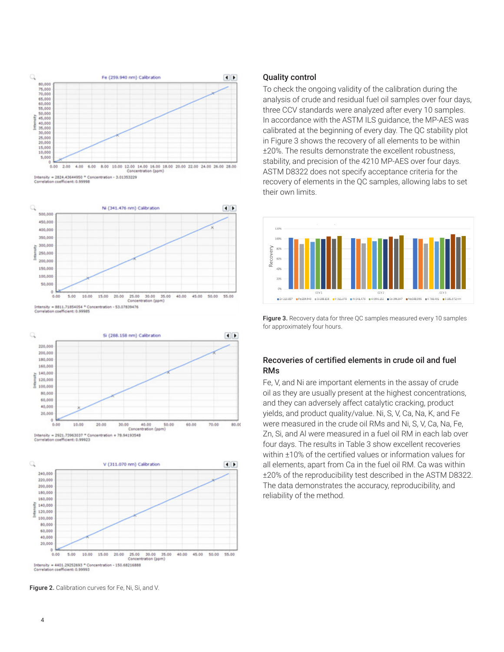

ent: 0.99998







Figure 2. Calibration curves for Fe, Ni, Si, and V.

#### Quality control

To check the ongoing validity of the calibration during the analysis of crude and residual fuel oil samples over four days, three CCV standards were analyzed after every 10 samples. In accordance with the ASTM ILS guidance, the MP-AES was calibrated at the beginning of every day. The QC stability plot in Figure 3 shows the recovery of all elements to be within ±20%. The results demonstrate the excellent robustness, stability, and precision of the 4210 MP-AES over four days. ASTM D8322 does not specify acceptance criteria for the recovery of elements in the QC samples, allowing labs to set their own limits.



Figure 3. Recovery data for three QC samples measured every 10 samples for approximately four hours.

#### Recoveries of certified elements in crude oil and fuel RMs

Fe, V, and Ni are important elements in the assay of crude oil as they are usually present at the highest concentrations, and they can adversely affect catalytic cracking, product yields, and product quality/value. Ni, S, V, Ca, Na, K, and Fe were measured in the crude oil RMs and Ni, S, V, Ca, Na, Fe, Zn, Si, and Al were measured in a fuel oil RM in each lab over four days. The results in Table 3 show excellent recoveries within ±10% of the certified values or information values for all elements, apart from Ca in the fuel oil RM. Ca was within ±20% of the reproducibility test described in the ASTM D8322. The data demonstrates the accuracy, reproducibility, and reliability of the method.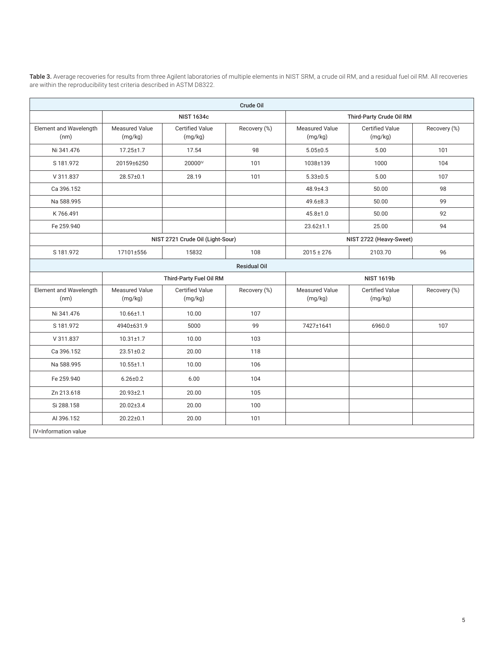| Crude Oil                      |                                  |                                   |                     |                           |                                   |              |  |  |  |
|--------------------------------|----------------------------------|-----------------------------------|---------------------|---------------------------|-----------------------------------|--------------|--|--|--|
|                                |                                  | <b>NIST 1634c</b>                 |                     |                           | Third-Party Crude Oil RM          |              |  |  |  |
| Element and Wavelength<br>(nm) | <b>Measured Value</b><br>(mg/kg) | <b>Certified Value</b><br>(mg/kg) | Recovery (%)        |                           | <b>Certified Value</b><br>(mg/kg) | Recovery (%) |  |  |  |
| Ni 341.476                     | $17.25 \pm 1.7$                  | 17.54<br>98                       |                     | $5.05 \pm 0.5$            | 5.00                              | 101          |  |  |  |
| S 181.972                      | 20159±6250                       | 20000 <sup>IV</sup>               | 101                 | 1038±139                  | 1000                              | 104          |  |  |  |
| V 311.837                      | 28.57±0.1                        | 28.19                             | 101                 | $5.33 \pm 0.5$            | 5.00                              | 107          |  |  |  |
| Ca 396.152                     |                                  |                                   |                     | 48.9±4.3                  | 50.00                             | 98           |  |  |  |
| Na 588.995                     |                                  |                                   |                     | 49.6±8.3                  | 50.00                             | 99           |  |  |  |
| K766.491                       |                                  |                                   |                     | $45.8 + 1.0$              | 50.00                             | 92           |  |  |  |
| Fe 259.940                     |                                  |                                   |                     | $23.62 \pm 1.1$           | 25.00                             | 94           |  |  |  |
|                                |                                  | NIST 2721 Crude Oil (Light-Sour)  |                     |                           | NIST 2722 (Heavy-Sweet)           |              |  |  |  |
| S 181.972                      | 17101±556                        | 15832                             | 108                 | $2015 \pm 276$            | 2103.70                           | 96           |  |  |  |
|                                |                                  |                                   | <b>Residual Oil</b> |                           |                                   |              |  |  |  |
|                                |                                  | Third-Party Fuel Oil RM           |                     | <b>NIST 1619b</b>         |                                   |              |  |  |  |
| Element and Wavelength<br>(nm) | Measured Value<br>(mg/kg)        | <b>Certified Value</b><br>(mg/kg) | Recovery (%)        | Measured Value<br>(mg/kg) | <b>Certified Value</b><br>(mg/kg) | Recovery (%) |  |  |  |
| Ni 341.476                     | $10.66 \pm 1.1$                  | 10.00                             | 107                 |                           |                                   |              |  |  |  |
| S 181.972                      | 4940±631.9                       | 5000                              | 99                  | 7427±1641                 | 6960.0                            | 107          |  |  |  |
| V 311.837                      | $10.31 \pm 1.7$                  | 10.00                             | 103                 |                           |                                   |              |  |  |  |
| Ca 396.152                     | $23.51 \pm 0.2$                  | 20.00                             | 118                 |                           |                                   |              |  |  |  |
| Na 588.995                     | $10.55 \pm 1.1$                  | 10.00                             | 106                 |                           |                                   |              |  |  |  |
| Fe 259.940                     | $6.26 \pm 0.2$                   | 6.00                              | 104                 |                           |                                   |              |  |  |  |
| Zn 213.618                     | $20.93 \pm 2.1$                  | 20.00                             | 105                 |                           |                                   |              |  |  |  |
| Si 288.158                     | $20.02 \pm 3.4$                  | 20.00                             | 100                 |                           |                                   |              |  |  |  |
| AI 396.152                     | $20.22 \pm 0.1$                  | 20.00                             | 101                 |                           |                                   |              |  |  |  |
| IV=Information value           |                                  |                                   |                     |                           |                                   |              |  |  |  |

Table 3. Average recoveries for results from three Agilent laboratories of multiple elements in NIST SRM, a crude oil RM, and a residual fuel oil RM. All recoveries are within the reproducibility test criteria described in ASTM D8322.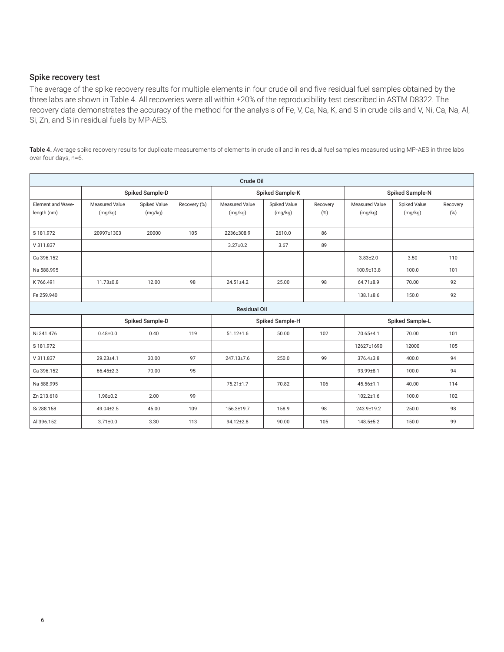#### Spike recovery test

The average of the spike recovery results for multiple elements in four crude oil and five residual fuel samples obtained by the three labs are shown in Table 4. All recoveries were all within ±20% of the reproducibility test described in ASTM D8322. The recovery data demonstrates the accuracy of the method for the analysis of Fe, V, Ca, Na, K, and S in crude oils and V, Ni, Ca, Na, Al, Si, Zn, and S in residual fuels by MP-AES.

Table 4. Average spike recovery results for duplicate measurements of elements in crude oil and in residual fuel samples measured using MP-AES in three labs over four days, n=6.

| Crude Oil                        |                                  |                         |              |                                  |                         |                 |                                  |                         |                 |  |
|----------------------------------|----------------------------------|-------------------------|--------------|----------------------------------|-------------------------|-----------------|----------------------------------|-------------------------|-----------------|--|
|                                  | Spiked Sample-D                  |                         |              |                                  | Spiked Sample-K         |                 | Spiked Sample-N                  |                         |                 |  |
| Element and Wave-<br>length (nm) | <b>Measured Value</b><br>(mg/kg) | Spiked Value<br>(mg/kg) | Recovery (%) | <b>Measured Value</b><br>(mg/kg) | Spiked Value<br>(mg/kg) | Recovery<br>(%) | <b>Measured Value</b><br>(mg/kg) | Spiked Value<br>(mg/kg) | Recovery<br>(%) |  |
| S 181.972                        | 20997±1303                       | 20000                   | 105          | 2236±308.9                       | 2610.0                  | 86              |                                  |                         |                 |  |
| V 311.837                        |                                  |                         |              | $3.27 \pm 0.2$                   | 3.67                    | 89              |                                  |                         |                 |  |
| Ca 396.152                       |                                  |                         |              |                                  |                         |                 | $3.83 \pm 2.0$                   | 3.50                    | 110             |  |
| Na 588.995                       |                                  |                         |              |                                  |                         |                 | 100.9±13.8                       | 100.0                   | 101             |  |
| K766.491                         | $11.73 \pm 0.8$                  | 12.00                   | 98           | $24.51 \pm 4.2$                  | 25.00                   | 98              | 64.71±8.9                        | 70.00                   | 92              |  |
| Fe 259.940                       |                                  |                         |              |                                  |                         |                 | $138.1 \pm 8.6$                  | 150.0                   | 92              |  |
|                                  |                                  |                         |              | <b>Residual Oil</b>              |                         |                 |                                  |                         |                 |  |
|                                  |                                  | Spiked Sample-D         |              |                                  | Spiked Sample-H         |                 | Spiked Sample-L                  |                         |                 |  |
| Ni 341.476                       | $0.48 + 0.0$                     | 0.40                    | 119          | $51.12 \pm 1.6$                  | 50.00                   | 102             | 70.65±4.1                        | 70.00                   | 101             |  |
| S 181.972                        |                                  |                         |              |                                  |                         |                 | 12627±1690                       | 12000                   | 105             |  |
| V 311.837                        | 29.23±4.1                        | 30.00                   | 97           | 247.13±7.6                       | 250.0                   | 99              | $376.4 \pm 3.8$                  | 400.0                   | 94              |  |
| Ca 396.152                       | 66.45±2.3                        | 70.00                   | 95           |                                  |                         |                 | 93.99±8.1                        | 100.0                   | 94              |  |
| Na 588.995                       |                                  |                         |              | 75.21±1.7                        | 70.82                   | 106             | 45.56±1.1                        | 40.00                   | 114             |  |
| Zn 213.618                       | $1.98 + 0.2$                     | 2.00                    | 99           |                                  |                         |                 | $102.2 \pm 1.6$                  | 100.0                   | 102             |  |
| Si 288.158                       | 49.04±2.5                        | 45.00                   | 109          | 156.3±19.7                       | 158.9                   | 98              | 243.9±19.2                       | 250.0                   | 98              |  |
| AI 396.152                       | $3.71 \pm 0.0$                   | 3.30                    | 113          | 94.12±2.8                        | 90.00                   | 105             | $148.5 \pm 5.2$                  | 150.0                   | 99              |  |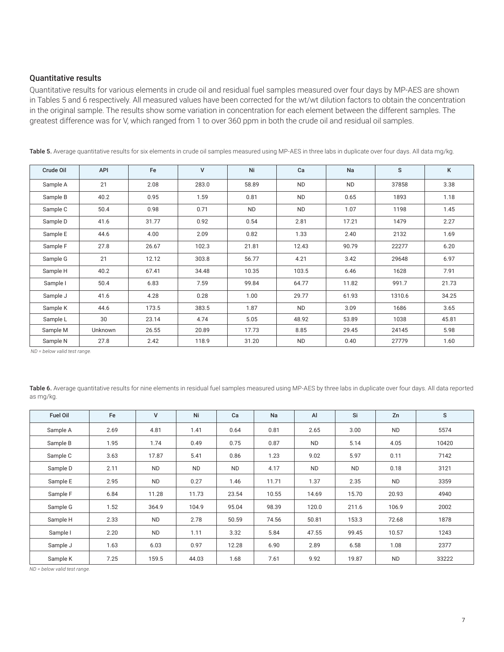#### Quantitative results

Quantitative results for various elements in crude oil and residual fuel samples measured over four days by MP-AES are shown in Tables 5 and 6 respectively. All measured values have been corrected for the wt/wt dilution factors to obtain the concentration in the original sample. The results show some variation in concentration for each element between the different samples. The greatest difference was for V, which ranged from 1 to over 360 ppm in both the crude oil and residual oil samples.

| Crude Oil | API     | Fe    | v     | Ni        | Ca        | Na        | S      | Κ     |
|-----------|---------|-------|-------|-----------|-----------|-----------|--------|-------|
| Sample A  | 21      | 2.08  | 283.0 | 58.89     | <b>ND</b> | <b>ND</b> | 37858  | 3.38  |
| Sample B  | 40.2    | 0.95  | 1.59  | 0.81      | <b>ND</b> | 0.65      | 1893   | 1.18  |
| Sample C  | 50.4    | 0.98  | 0.71  | <b>ND</b> | <b>ND</b> | 1.07      | 1198   | 1.45  |
| Sample D  | 41.6    | 31.77 | 0.92  | 0.54      | 2.81      | 17.21     | 1479   | 2.27  |
| Sample E  | 44.6    | 4.00  | 2.09  | 0.82      | 1.33      | 2.40      | 2132   | 1.69  |
| Sample F  | 27.8    | 26.67 | 102.3 | 21.81     | 12.43     | 90.79     | 22277  | 6.20  |
| Sample G  | 21      | 12.12 | 303.8 | 56.77     | 4.21      | 3.42      | 29648  | 6.97  |
| Sample H  | 40.2    | 67.41 | 34.48 | 10.35     | 103.5     | 6.46      | 1628   | 7.91  |
| Sample I  | 50.4    | 6.83  | 7.59  | 99.84     | 64.77     | 11.82     | 991.7  | 21.73 |
| Sample J  | 41.6    | 4.28  | 0.28  | 1.00      | 29.77     | 61.93     | 1310.6 | 34.25 |
| Sample K  | 44.6    | 173.5 | 383.5 | 1.87      | <b>ND</b> | 3.09      | 1686   | 3.65  |
| Sample L  | 30      | 23.14 | 4.74  | 5.05      | 48.92     | 53.89     | 1038   | 45.81 |
| Sample M  | Unknown | 26.55 | 20.89 | 17.73     | 8.85      | 29.45     | 24145  | 5.98  |
| Sample N  | 27.8    | 2.42  | 118.9 | 31.20     | ND        | 0.40      | 27779  | 1.60  |

Table 5. Average quantitative results for six elements in crude oil samples measured using MP-AES in three labs in duplicate over four days. All data mg/kg.

 *ND = below valid test range.*

Table 6. Average quantitative results for nine elements in residual fuel samples measured using MP-AES by three labs in duplicate over four days. All data reported as mg/kg.

| Fuel Oil | Fe   | $\mathsf{V}$ | Ni        | Ca        | Na    | Al        | Si        | Zn        | S     |
|----------|------|--------------|-----------|-----------|-------|-----------|-----------|-----------|-------|
| Sample A | 2.69 | 4.81         | 1.41      | 0.64      | 0.81  | 2.65      | 3.00      | <b>ND</b> | 5574  |
| Sample B | 1.95 | 1.74         | 0.49      | 0.75      | 0.87  | <b>ND</b> | 5.14      | 4.05      | 10420 |
| Sample C | 3.63 | 17.87        | 5.41      | 0.86      | 1.23  | 9.02      | 5.97      | 0.11      | 7142  |
| Sample D | 2.11 | <b>ND</b>    | <b>ND</b> | <b>ND</b> | 4.17  | <b>ND</b> | <b>ND</b> | 0.18      | 3121  |
| Sample E | 2.95 | <b>ND</b>    | 0.27      | 1.46      | 11.71 | 1.37      | 2.35      | <b>ND</b> | 3359  |
| Sample F | 6.84 | 11.28        | 11.73     | 23.54     | 10.55 | 14.69     | 15.70     | 20.93     | 4940  |
| Sample G | 1.52 | 364.9        | 104.9     | 95.04     | 98.39 | 120.0     | 211.6     | 106.9     | 2002  |
| Sample H | 2.33 | <b>ND</b>    | 2.78      | 50.59     | 74.56 | 50.81     | 153.3     | 72.68     | 1878  |
| Sample I | 2.20 | <b>ND</b>    | 1.11      | 3.32      | 5.84  | 47.55     | 99.45     | 10.57     | 1243  |
| Sample J | 1.63 | 6.03         | 0.97      | 12.28     | 6.90  | 2.89      | 6.58      | 1.08      | 2377  |
| Sample K | 7.25 | 159.5        | 44.03     | 1.68      | 7.61  | 9.92      | 19.87     | <b>ND</b> | 33222 |

*ND = below valid test range.*